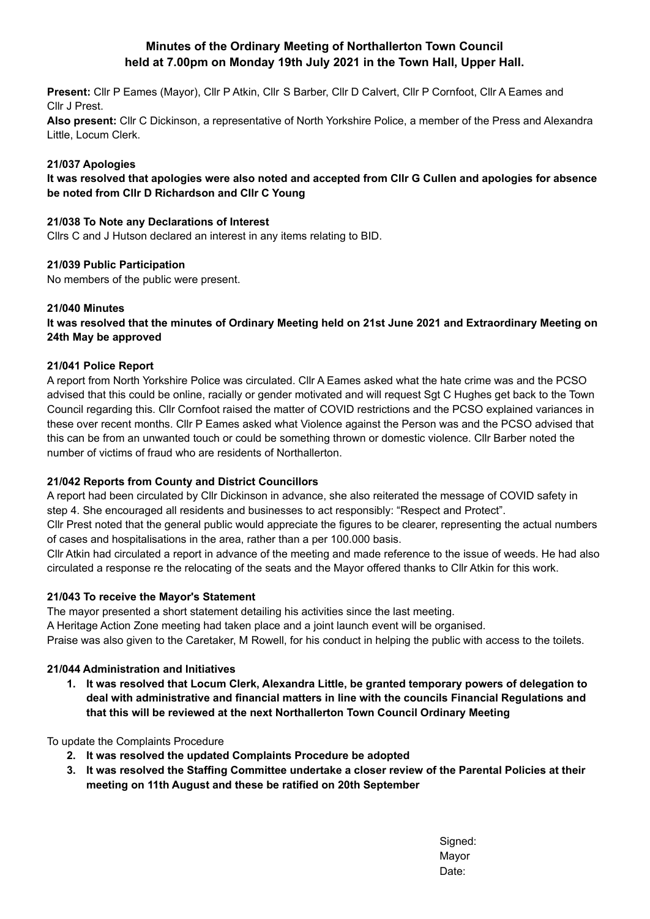# **Minutes of the Ordinary Meeting of Northallerton Town Council held at 7.00pm on Monday 19th July 2021 in the Town Hall, Upper Hall.**

**Present:** Cllr P Eames (Mayor), Cllr P Atkin, Cllr S Barber, Cllr D Calvert, Cllr P Cornfoot, Cllr A Eames and Cllr J Prest.

**Also present:** Cllr C Dickinson, a representative of North Yorkshire Police, a member of the Press and Alexandra Little, Locum Clerk.

### **21/037 Apologies**

It was resolved that apologies were also noted and accepted from CIIr G Cullen and apologies for absence **be noted from Cllr D Richardson and Cllr C Young**

#### **21/038 To Note any Declarations of Interest**

Cllrs C and J Hutson declared an interest in any items relating to BID.

### **21/039 Public Participation**

No members of the public were present.

### **21/040 Minutes**

## It was resolved that the minutes of Ordinary Meeting held on 21st June 2021 and Extraordinary Meeting on **24th May be approved**

### **21/041 Police Report**

A report from North Yorkshire Police was circulated. Cllr A Eames asked what the hate crime was and the PCSO advised that this could be online, racially or gender motivated and will request Sgt C Hughes get back to the Town Council regarding this. Cllr Cornfoot raised the matter of COVID restrictions and the PCSO explained variances in these over recent months. Cllr P Eames asked what Violence against the Person was and the PCSO advised that this can be from an unwanted touch or could be something thrown or domestic violence. Cllr Barber noted the number of victims of fraud who are residents of Northallerton.

## **21/042 Reports from County and District Councillors**

A report had been circulated by Cllr Dickinson in advance, she also reiterated the message of COVID safety in step 4. She encouraged all residents and businesses to act responsibly: "Respect and Protect".

Cllr Prest noted that the general public would appreciate the figures to be clearer, representing the actual numbers of cases and hospitalisations in the area, rather than a per 100.000 basis.

Cllr Atkin had circulated a report in advance of the meeting and made reference to the issue of weeds. He had also circulated a response re the relocating of the seats and the Mayor offered thanks to Cllr Atkin for this work.

#### **21/043 To receive the Mayor's Statement**

The mayor presented a short statement detailing his activities since the last meeting.

A Heritage Action Zone meeting had taken place and a joint launch event will be organised.

Praise was also given to the Caretaker, M Rowell, for his conduct in helping the public with access to the toilets.

## **21/044 Administration and Initiatives**

**1. It was resolved that Locum Clerk, Alexandra Little, be granted temporary powers of delegation to deal with administrative and financial matters in line with the councils Financial Regulations and that this will be reviewed at the next Northallerton Town Council Ordinary Meeting**

To update the Complaints Procedure

- **2. It was resolved the updated Complaints Procedure be adopted**
- **3. It was resolved the Staffing Committee undertake a closer review of the Parental Policies at their meeting on 11th August and these be ratified on 20th September**

Signed: Mayor Date: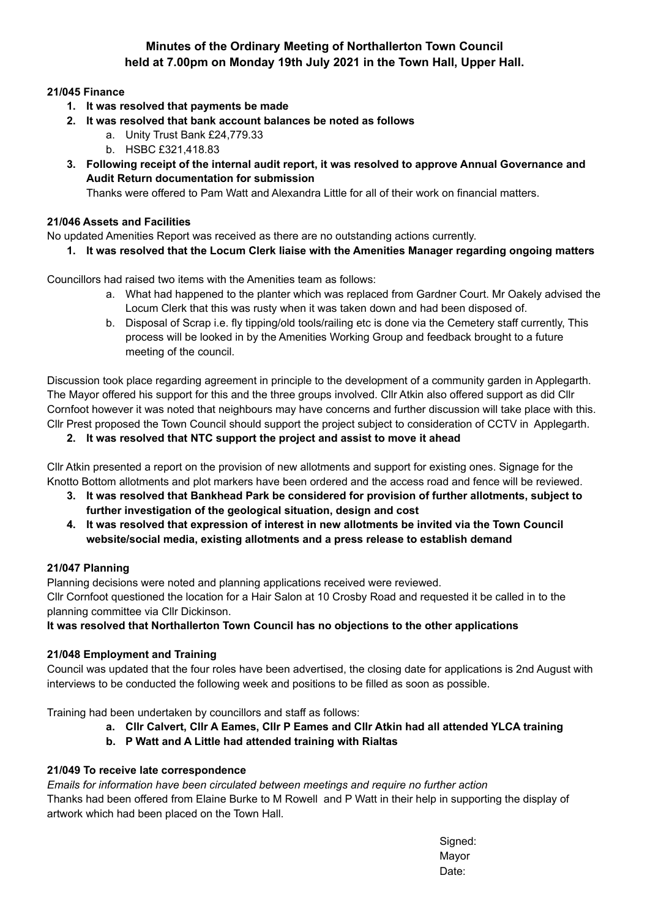# **Minutes of the Ordinary Meeting of Northallerton Town Council held at 7.00pm on Monday 19th July 2021 in the Town Hall, Upper Hall.**

# **21/045 Finance**

- **1. It was resolved that payments be made**
- **2. It was resolved that bank account balances be noted as follows**
	- a. Unity Trust Bank £24,779.33
	- b. HSBC £321,418.83
- **3. Following receipt of the internal audit report, it was resolved to approve Annual Governance and Audit Return documentation for submission**

Thanks were offered to Pam Watt and Alexandra Little for all of their work on financial matters.

# **21/046 Assets and Facilities**

No updated Amenities Report was received as there are no outstanding actions currently.

**1. It was resolved that the Locum Clerk liaise with the Amenities Manager regarding ongoing matters**

Councillors had raised two items with the Amenities team as follows:

- a. What had happened to the planter which was replaced from Gardner Court. Mr Oakely advised the Locum Clerk that this was rusty when it was taken down and had been disposed of.
- b. Disposal of Scrap i.e. fly tipping/old tools/railing etc is done via the Cemetery staff currently, This process will be looked in by the Amenities Working Group and feedback brought to a future meeting of the council.

Discussion took place regarding agreement in principle to the development of a community garden in Applegarth. The Mayor offered his support for this and the three groups involved. Cllr Atkin also offered support as did Cllr Cornfoot however it was noted that neighbours may have concerns and further discussion will take place with this. Cllr Prest proposed the Town Council should support the project subject to consideration of CCTV in Applegarth.

**2. It was resolved that NTC support the project and assist to move it ahead**

Cllr Atkin presented a report on the provision of new allotments and support for existing ones. Signage for the Knotto Bottom allotments and plot markers have been ordered and the access road and fence will be reviewed.

- **3. It was resolved that Bankhead Park be considered for provision of further allotments, subject to further investigation of the geological situation, design and cost**
- **4. It was resolved that expression of interest in new allotments be invited via the Town Council website/social media, existing allotments and a press release to establish demand**

## **21/047 Planning**

Planning decisions were noted and planning applications received were reviewed.

Cllr Cornfoot questioned the location for a Hair Salon at 10 Crosby Road and requested it be called in to the planning committee via Cllr Dickinson.

# **It was resolved that Northallerton Town Council has no objections to the other applications**

## **21/048 Employment and Training**

Council was updated that the four roles have been advertised, the closing date for applications is 2nd August with interviews to be conducted the following week and positions to be filled as soon as possible.

Training had been undertaken by councillors and staff as follows:

- **a. Cllr Calvert, Cllr A Eames, Cllr P Eames and Cllr Atkin had all attended YLCA training**
- **b. P Watt and A Little had attended training with Rialtas**

## **21/049 To receive late correspondence**

*Emails for information have been circulated between meetings and require no further action* Thanks had been offered from Elaine Burke to M Rowell and P Watt in their help in supporting the display of artwork which had been placed on the Town Hall.

> Signed: Mayor Date: